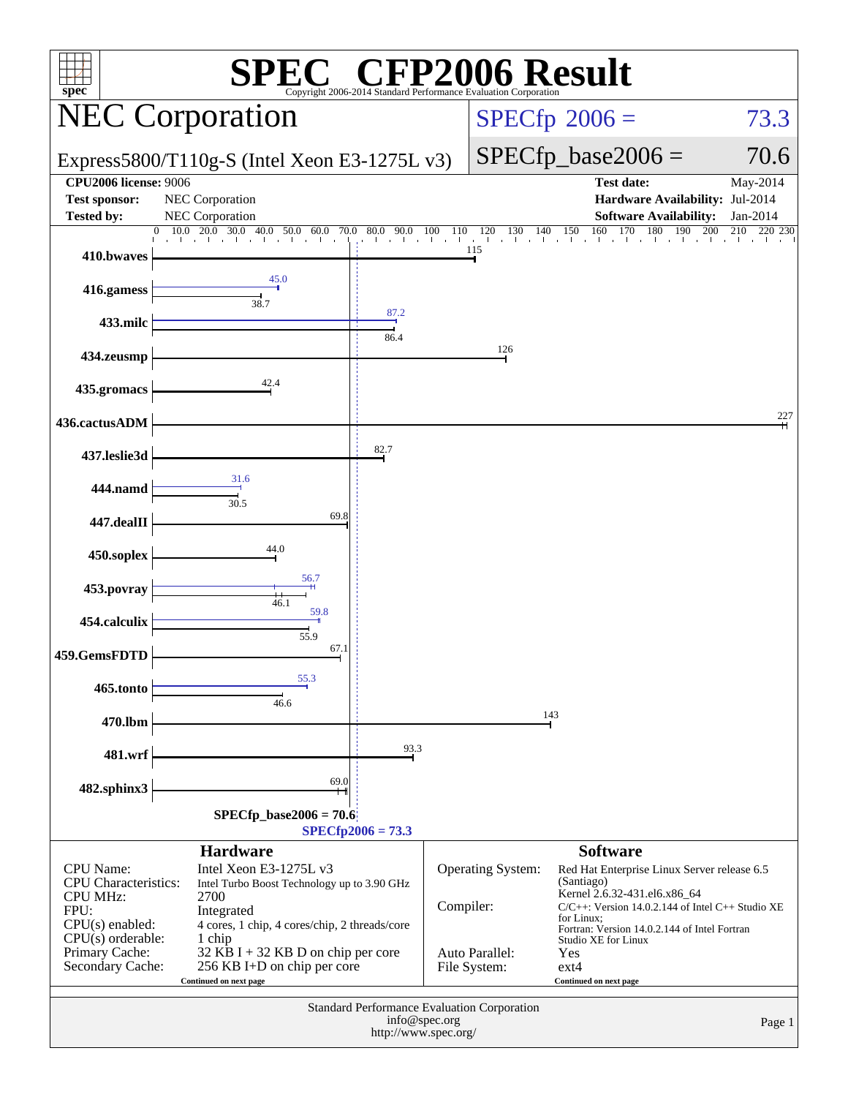| $spec^*$                                                                                                                                                     |                                                                                                                                                                                                                                                                            | <sup>®</sup> CFI                                                                     |           | Copyright 2006-2014 Standard Performance Evaluation Corporation   | P2006 Result                                                                                                                                                                                                                                                                                            |                       |
|--------------------------------------------------------------------------------------------------------------------------------------------------------------|----------------------------------------------------------------------------------------------------------------------------------------------------------------------------------------------------------------------------------------------------------------------------|--------------------------------------------------------------------------------------|-----------|-------------------------------------------------------------------|---------------------------------------------------------------------------------------------------------------------------------------------------------------------------------------------------------------------------------------------------------------------------------------------------------|-----------------------|
|                                                                                                                                                              | <b>NEC Corporation</b>                                                                                                                                                                                                                                                     |                                                                                      |           |                                                                   | $SPECfp^{\circ}2006 =$                                                                                                                                                                                                                                                                                  | 73.3                  |
|                                                                                                                                                              | Express5800/T110g-S (Intel Xeon E3-1275L v3)                                                                                                                                                                                                                               |                                                                                      |           |                                                                   | $SPECfp\_base2006 =$                                                                                                                                                                                                                                                                                    | 70.6                  |
| <b>CPU2006 license: 9006</b><br><b>Test sponsor:</b><br><b>Tested by:</b>                                                                                    | NEC Corporation<br>NEC Corporation                                                                                                                                                                                                                                         |                                                                                      |           |                                                                   | <b>Test date:</b><br>Hardware Availability: Jul-2014<br><b>Software Availability:</b>                                                                                                                                                                                                                   | May-2014<br>Jan-2014  |
| 410.bwaves                                                                                                                                                   | 20.0<br>30.0<br>10.0<br>40.0 50.0<br>60.0<br>70.0                                                                                                                                                                                                                          | $80.0$ 90.0 100<br>$\sim 10^{-11}$<br>de la con-                                     | 110       | 140<br>120<br>130<br>the contract that the con-<br>de la c<br>115 | 160<br>170<br>180<br>150<br>190<br>and the con-<br>the contract of the con-                                                                                                                                                                                                                             | 200<br>220 230<br>210 |
| 416.gamess                                                                                                                                                   | 45.0                                                                                                                                                                                                                                                                       |                                                                                      |           |                                                                   |                                                                                                                                                                                                                                                                                                         |                       |
| 433.milc                                                                                                                                                     | 38.7                                                                                                                                                                                                                                                                       | 87.2<br>86.4                                                                         |           |                                                                   |                                                                                                                                                                                                                                                                                                         |                       |
| 434.zeusmp                                                                                                                                                   |                                                                                                                                                                                                                                                                            |                                                                                      |           | 126                                                               |                                                                                                                                                                                                                                                                                                         |                       |
| 435.gromacs                                                                                                                                                  | 42.4                                                                                                                                                                                                                                                                       |                                                                                      |           |                                                                   |                                                                                                                                                                                                                                                                                                         |                       |
| 436.cactusADM                                                                                                                                                |                                                                                                                                                                                                                                                                            | 82.7                                                                                 |           |                                                                   |                                                                                                                                                                                                                                                                                                         | 227                   |
| 437.leslie3d<br>444.namd                                                                                                                                     | 31.6                                                                                                                                                                                                                                                                       |                                                                                      |           |                                                                   |                                                                                                                                                                                                                                                                                                         |                       |
| 447.dealII                                                                                                                                                   | 30.5<br>69.8                                                                                                                                                                                                                                                               |                                                                                      |           |                                                                   |                                                                                                                                                                                                                                                                                                         |                       |
| 450.soplex                                                                                                                                                   | 44.0                                                                                                                                                                                                                                                                       |                                                                                      |           |                                                                   |                                                                                                                                                                                                                                                                                                         |                       |
| 453.povray                                                                                                                                                   | 56.7<br>46.1                                                                                                                                                                                                                                                               |                                                                                      |           |                                                                   |                                                                                                                                                                                                                                                                                                         |                       |
| 454.calculix                                                                                                                                                 | 59.8<br>55.9<br>67.1                                                                                                                                                                                                                                                       |                                                                                      |           |                                                                   |                                                                                                                                                                                                                                                                                                         |                       |
| 459.GemsFDTD<br>465.tonto                                                                                                                                    | 55.3                                                                                                                                                                                                                                                                       |                                                                                      |           |                                                                   |                                                                                                                                                                                                                                                                                                         |                       |
| 470.lbm                                                                                                                                                      | 46.6                                                                                                                                                                                                                                                                       |                                                                                      |           |                                                                   | 143                                                                                                                                                                                                                                                                                                     |                       |
| 481.wrf                                                                                                                                                      |                                                                                                                                                                                                                                                                            | 93.3                                                                                 |           |                                                                   |                                                                                                                                                                                                                                                                                                         |                       |
| 482.sphinx3                                                                                                                                                  | 69.0                                                                                                                                                                                                                                                                       |                                                                                      |           |                                                                   |                                                                                                                                                                                                                                                                                                         |                       |
|                                                                                                                                                              | $SPECfp\_base2006 = 70.6$                                                                                                                                                                                                                                                  | $SPECfp2006 = 73.3$                                                                  |           |                                                                   |                                                                                                                                                                                                                                                                                                         |                       |
| <b>CPU</b> Name:<br><b>CPU</b> Characteristics:<br><b>CPU MHz:</b><br>FPU:<br>$CPU(s)$ enabled:<br>$CPU(s)$ orderable:<br>Primary Cache:<br>Secondary Cache: | <b>Hardware</b><br>Intel Xeon E3-1275L v3<br>Intel Turbo Boost Technology up to 3.90 GHz<br>2700<br>Integrated<br>4 cores, 1 chip, 4 cores/chip, 2 threads/core<br>1 chip<br>$32$ KB I + 32 KB D on chip per core<br>256 KB I+D on chip per core<br>Continued on next page |                                                                                      | Compiler: | Operating System:<br>Auto Parallel:<br>File System:               | <b>Software</b><br>Red Hat Enterprise Linux Server release 6.5<br>(Santiago)<br>Kernel 2.6.32-431.el6.x86_64<br>$C/C++$ : Version 14.0.2.144 of Intel $C++$ Studio XE<br>for Linux;<br>Fortran: Version 14.0.2.144 of Intel Fortran<br>Studio XE for Linux<br>Yes<br>$ext{4}$<br>Continued on next page |                       |
|                                                                                                                                                              |                                                                                                                                                                                                                                                                            | Standard Performance Evaluation Corporation<br>info@spec.org<br>http://www.spec.org/ |           |                                                                   |                                                                                                                                                                                                                                                                                                         | Page 1                |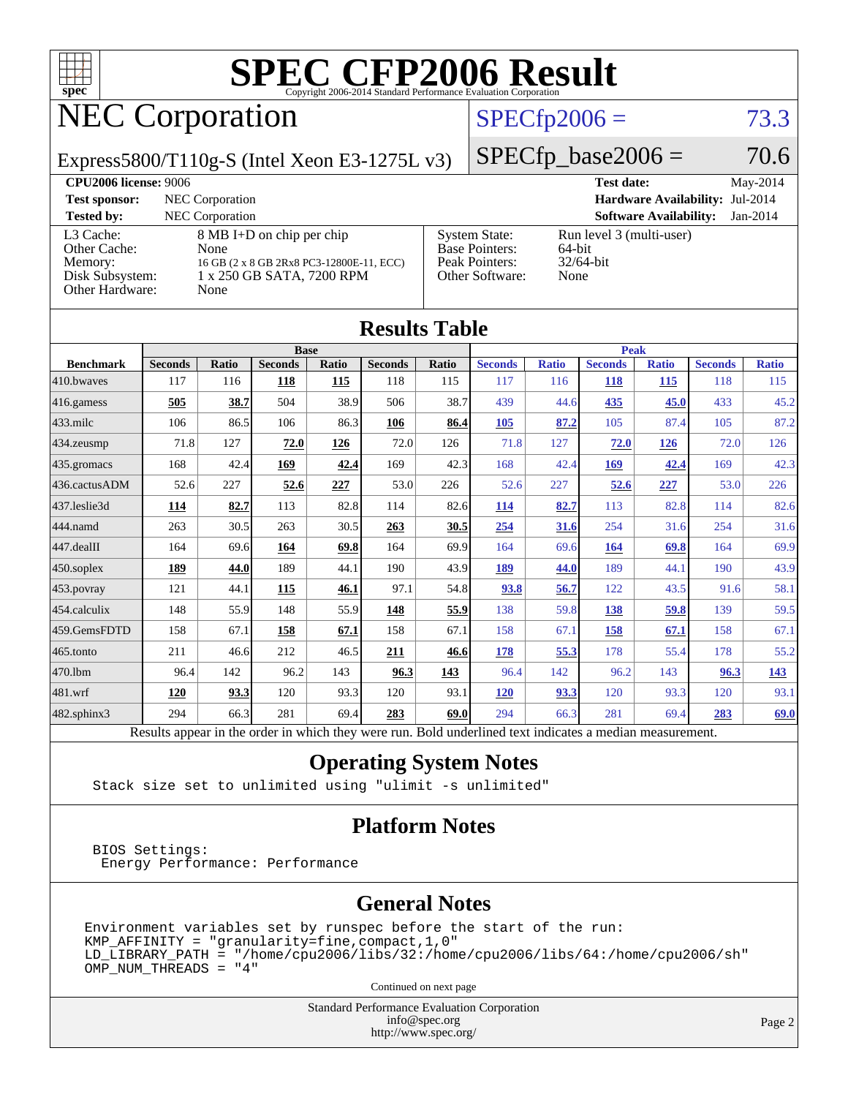

# NEC Corporation

### $SPECfp2006 = 73.3$  $SPECfp2006 = 73.3$

Express5800/T110g-S (Intel Xeon E3-1275L v3)

 $SPECTp\_base2006 = 70.6$ 

| <b>CPU2006 license: 9006</b>                                               |                                                                                                                    |                                                                                    | <b>Test date:</b>                                          | May-2014   |
|----------------------------------------------------------------------------|--------------------------------------------------------------------------------------------------------------------|------------------------------------------------------------------------------------|------------------------------------------------------------|------------|
| <b>Test sponsor:</b>                                                       | NEC Corporation                                                                                                    |                                                                                    | <b>Hardware Availability: Jul-2014</b>                     |            |
| <b>Tested by:</b>                                                          | <b>NEC</b> Corporation                                                                                             |                                                                                    | <b>Software Availability:</b>                              | $Jan-2014$ |
| L3 Cache:<br>Other Cache:<br>Memory:<br>Disk Subsystem:<br>Other Hardware: | 8 MB I+D on chip per chip<br>None<br>16 GB (2 x 8 GB 2Rx8 PC3-12800E-11, ECC)<br>1 x 250 GB SATA, 7200 RPM<br>None | <b>System State:</b><br><b>Base Pointers:</b><br>Peak Pointers:<br>Other Software: | Run level 3 (multi-user)<br>64-bit<br>$32/64$ -bit<br>None |            |

|                   |                                                                                                          |              |                |       | <b>Results Table</b> |       |                |              |                |              |                |              |
|-------------------|----------------------------------------------------------------------------------------------------------|--------------|----------------|-------|----------------------|-------|----------------|--------------|----------------|--------------|----------------|--------------|
|                   | <b>Base</b>                                                                                              |              |                |       |                      |       | <b>Peak</b>    |              |                |              |                |              |
| <b>Benchmark</b>  | <b>Seconds</b>                                                                                           | <b>Ratio</b> | <b>Seconds</b> | Ratio | <b>Seconds</b>       | Ratio | <b>Seconds</b> | <b>Ratio</b> | <b>Seconds</b> | <b>Ratio</b> | <b>Seconds</b> | <b>Ratio</b> |
| 410.bwayes        | 117                                                                                                      | 116          | 118            | 115   | 118                  | 115   | 117            | 116          | <b>118</b>     | 115          | 118            | 115          |
| 416.gamess        | 505                                                                                                      | 38.7         | 504            | 38.9  | 506                  | 38.7  | 439            | 44.6         | 435            | 45.0         | 433            | 45.2         |
| $433$ .milc       | 106                                                                                                      | 86.5         | 106            | 86.3  | 106                  | 86.4  | 105            | 87.2         | 105            | 87.4         | 105            | 87.2         |
| $434$ . zeusmp    | 71.8                                                                                                     | 127          | 72.0           | 126   | 72.0                 | 126   | 71.8           | 127          | 72.0           | 126          | 72.0           | 126          |
| 435.gromacs       | 168                                                                                                      | 42.4         | 169            | 42.4  | 169                  | 42.3  | 168            | 42.4         | 169            | 42.4         | 169            | 42.3         |
| 436.cactusADM     | 52.6                                                                                                     | 227          | 52.6           | 227   | 53.0                 | 226   | 52.6           | 227          | 52.6           | 227          | 53.0           | 226          |
| 437.leslie3d      | 114                                                                                                      | 82.7         | 113            | 82.8  | 114                  | 82.6  | 114            | 82.7         | 113            | 82.8         | 114            | 82.6         |
| 444.namd          | 263                                                                                                      | 30.5         | 263            | 30.5  | 263                  | 30.5  | 254            | 31.6         | 254            | 31.6         | 254            | 31.6         |
| $447$ .dealII     | 164                                                                                                      | 69.6         | 164            | 69.8  | 164                  | 69.9  | 164            | 69.6         | 164            | 69.8         | 164            | 69.9         |
| $450$ .soplex     | 189                                                                                                      | 44.0         | 189            | 44.1  | 190                  | 43.9  | 189            | 44.0         | 189            | 44.1         | 190            | 43.9         |
| $453$ .povray     | 121                                                                                                      | 44.1         | 115            | 46.1  | 97.1                 | 54.8  | 93.8           | 56.7         | 122            | 43.5         | 91.6           | 58.1         |
| 454.calculix      | 148                                                                                                      | 55.9         | 148            | 55.9  | 148                  | 55.9  | 138            | 59.8         | 138            | 59.8         | 139            | 59.5         |
| 459.GemsFDTD      | 158                                                                                                      | 67.1         | 158            | 67.1  | 158                  | 67.1  | 158            | 67.1         | 158            | 67.1         | 158            | 67.1         |
| $465$ .tonto      | 211                                                                                                      | 46.6         | 212            | 46.5  | 211                  | 46.6  | 178            | 55.3         | 178            | 55.4         | 178            | 55.2         |
| 470.1bm           | 96.4                                                                                                     | 142          | 96.2           | 143   | 96.3                 | 143   | 96.4           | 142          | 96.2           | 143          | 96.3           | <u>143</u>   |
| 481.wrf           | 120                                                                                                      | 93.3         | 120            | 93.3  | 120                  | 93.1  | 120            | 93.3         | 120            | 93.3         | 120            | 93.1         |
| $482$ .sphinx $3$ | 294                                                                                                      | 66.3         | 281            | 69.4  | 283                  | 69.0  | 294            | 66.3         | 281            | 69.4         | 283            | <u>69.0</u>  |
|                   | Results appear in the order in which they were run. Bold underlined text indicates a median measurement. |              |                |       |                      |       |                |              |                |              |                |              |

#### **[Operating System Notes](http://www.spec.org/auto/cpu2006/Docs/result-fields.html#OperatingSystemNotes)**

Stack size set to unlimited using "ulimit -s unlimited"

#### **[Platform Notes](http://www.spec.org/auto/cpu2006/Docs/result-fields.html#PlatformNotes)**

 BIOS Settings: Energy Performance: Performance

#### **[General Notes](http://www.spec.org/auto/cpu2006/Docs/result-fields.html#GeneralNotes)**

Environment variables set by runspec before the start of the run:  $KMP_A$ FFINITY = "granularity=fine, compact, 1, 0"  $LD$ \_LIBRARY\_PATH = "/home/cpu2006/libs/32:/home/cpu2006/libs/64:/home/cpu2006/sh" OMP\_NUM\_THREADS = "4"

Continued on next page

Standard Performance Evaluation Corporation [info@spec.org](mailto:info@spec.org) <http://www.spec.org/>

Page 2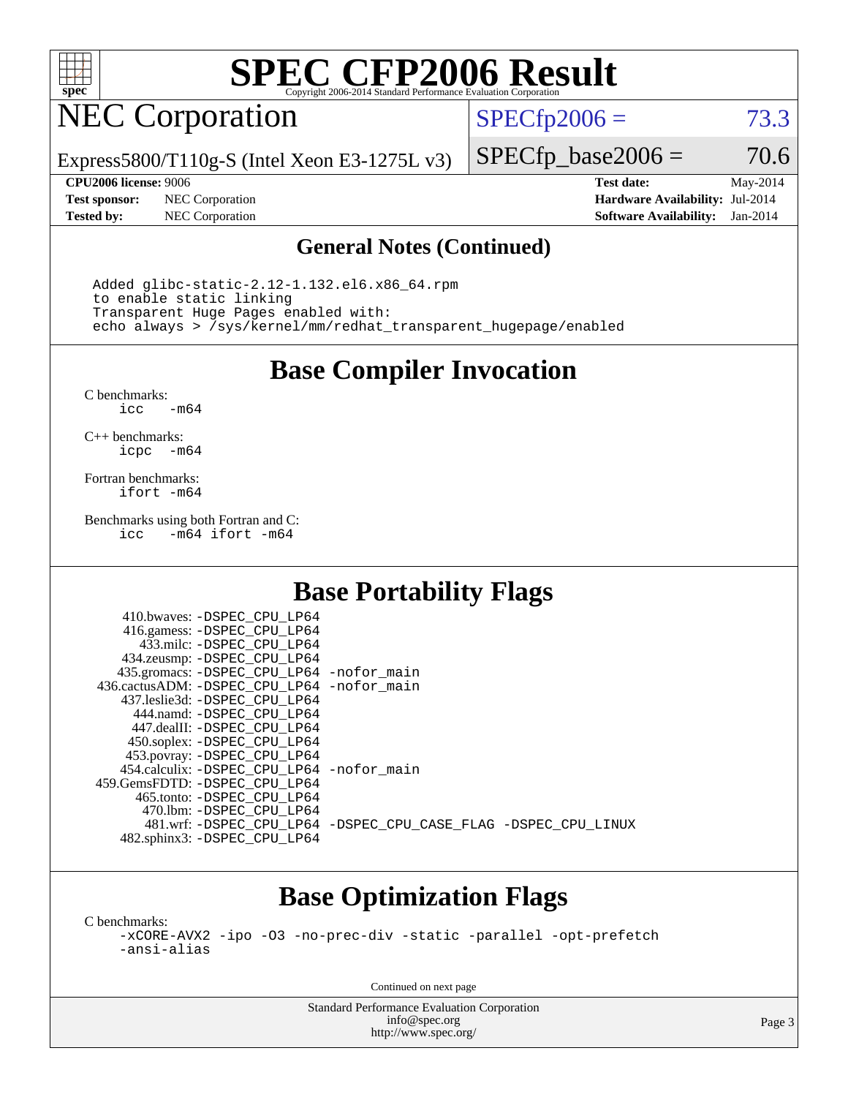

## NEC Corporation

 $SPECTp2006 = 73.3$ 

Express5800/T110g-S (Intel Xeon E3-1275L v3)

**[Test sponsor:](http://www.spec.org/auto/cpu2006/Docs/result-fields.html#Testsponsor)** NEC Corporation **[Hardware Availability:](http://www.spec.org/auto/cpu2006/Docs/result-fields.html#HardwareAvailability)** Jul-2014

 $SPECTp\_base2006 = 70.6$ **[CPU2006 license:](http://www.spec.org/auto/cpu2006/Docs/result-fields.html#CPU2006license)** 9006 **[Test date:](http://www.spec.org/auto/cpu2006/Docs/result-fields.html#Testdate)** May-2014

**[Tested by:](http://www.spec.org/auto/cpu2006/Docs/result-fields.html#Testedby)** NEC Corporation **[Software Availability:](http://www.spec.org/auto/cpu2006/Docs/result-fields.html#SoftwareAvailability)** Jan-2014

#### **[General Notes \(Continued\)](http://www.spec.org/auto/cpu2006/Docs/result-fields.html#GeneralNotes)**

 Added glibc-static-2.12-1.132.el6.x86\_64.rpm to enable static linking Transparent Huge Pages enabled with: echo always > /sys/kernel/mm/redhat\_transparent\_hugepage/enabled

**[Base Compiler Invocation](http://www.spec.org/auto/cpu2006/Docs/result-fields.html#BaseCompilerInvocation)**

[C benchmarks](http://www.spec.org/auto/cpu2006/Docs/result-fields.html#Cbenchmarks):  $-m64$ 

[C++ benchmarks:](http://www.spec.org/auto/cpu2006/Docs/result-fields.html#CXXbenchmarks) [icpc -m64](http://www.spec.org/cpu2006/results/res2014q3/cpu2006-20140806-30800.flags.html#user_CXXbase_intel_icpc_64bit_bedb90c1146cab66620883ef4f41a67e)

[Fortran benchmarks](http://www.spec.org/auto/cpu2006/Docs/result-fields.html#Fortranbenchmarks): [ifort -m64](http://www.spec.org/cpu2006/results/res2014q3/cpu2006-20140806-30800.flags.html#user_FCbase_intel_ifort_64bit_ee9d0fb25645d0210d97eb0527dcc06e)

[Benchmarks using both Fortran and C](http://www.spec.org/auto/cpu2006/Docs/result-fields.html#BenchmarksusingbothFortranandC): [icc -m64](http://www.spec.org/cpu2006/results/res2014q3/cpu2006-20140806-30800.flags.html#user_CC_FCbase_intel_icc_64bit_0b7121f5ab7cfabee23d88897260401c) [ifort -m64](http://www.spec.org/cpu2006/results/res2014q3/cpu2006-20140806-30800.flags.html#user_CC_FCbase_intel_ifort_64bit_ee9d0fb25645d0210d97eb0527dcc06e)

### **[Base Portability Flags](http://www.spec.org/auto/cpu2006/Docs/result-fields.html#BasePortabilityFlags)**

| 410.bwaves: -DSPEC CPU LP64                |                                                                |
|--------------------------------------------|----------------------------------------------------------------|
| 416.gamess: -DSPEC_CPU_LP64                |                                                                |
| 433.milc: -DSPEC CPU LP64                  |                                                                |
| 434.zeusmp: - DSPEC_CPU_LP64               |                                                                |
| 435.gromacs: -DSPEC_CPU_LP64 -nofor_main   |                                                                |
| 436.cactusADM: -DSPEC CPU LP64 -nofor main |                                                                |
| 437.leslie3d: -DSPEC CPU LP64              |                                                                |
| 444.namd: -DSPEC CPU LP64                  |                                                                |
| 447.dealII: -DSPEC CPU LP64                |                                                                |
| 450.soplex: -DSPEC CPU LP64                |                                                                |
| 453.povray: -DSPEC_CPU_LP64                |                                                                |
| 454.calculix: -DSPEC CPU LP64 -nofor main  |                                                                |
| 459.GemsFDTD: - DSPEC CPU LP64             |                                                                |
| 465.tonto: - DSPEC CPU LP64                |                                                                |
| 470.1bm: - DSPEC CPU LP64                  |                                                                |
|                                            | 481.wrf: -DSPEC CPU_LP64 -DSPEC_CPU_CASE_FLAG -DSPEC_CPU_LINUX |
| 482.sphinx3: -DSPEC_CPU_LP64               |                                                                |

### **[Base Optimization Flags](http://www.spec.org/auto/cpu2006/Docs/result-fields.html#BaseOptimizationFlags)**

[C benchmarks](http://www.spec.org/auto/cpu2006/Docs/result-fields.html#Cbenchmarks):

[-xCORE-AVX2](http://www.spec.org/cpu2006/results/res2014q3/cpu2006-20140806-30800.flags.html#user_CCbase_f-xAVX2_5f5fc0cbe2c9f62c816d3e45806c70d7) [-ipo](http://www.spec.org/cpu2006/results/res2014q3/cpu2006-20140806-30800.flags.html#user_CCbase_f-ipo) [-O3](http://www.spec.org/cpu2006/results/res2014q3/cpu2006-20140806-30800.flags.html#user_CCbase_f-O3) [-no-prec-div](http://www.spec.org/cpu2006/results/res2014q3/cpu2006-20140806-30800.flags.html#user_CCbase_f-no-prec-div) [-static](http://www.spec.org/cpu2006/results/res2014q3/cpu2006-20140806-30800.flags.html#user_CCbase_f-static) [-parallel](http://www.spec.org/cpu2006/results/res2014q3/cpu2006-20140806-30800.flags.html#user_CCbase_f-parallel) [-opt-prefetch](http://www.spec.org/cpu2006/results/res2014q3/cpu2006-20140806-30800.flags.html#user_CCbase_f-opt-prefetch) [-ansi-alias](http://www.spec.org/cpu2006/results/res2014q3/cpu2006-20140806-30800.flags.html#user_CCbase_f-ansi-alias)

Continued on next page

Standard Performance Evaluation Corporation [info@spec.org](mailto:info@spec.org) <http://www.spec.org/>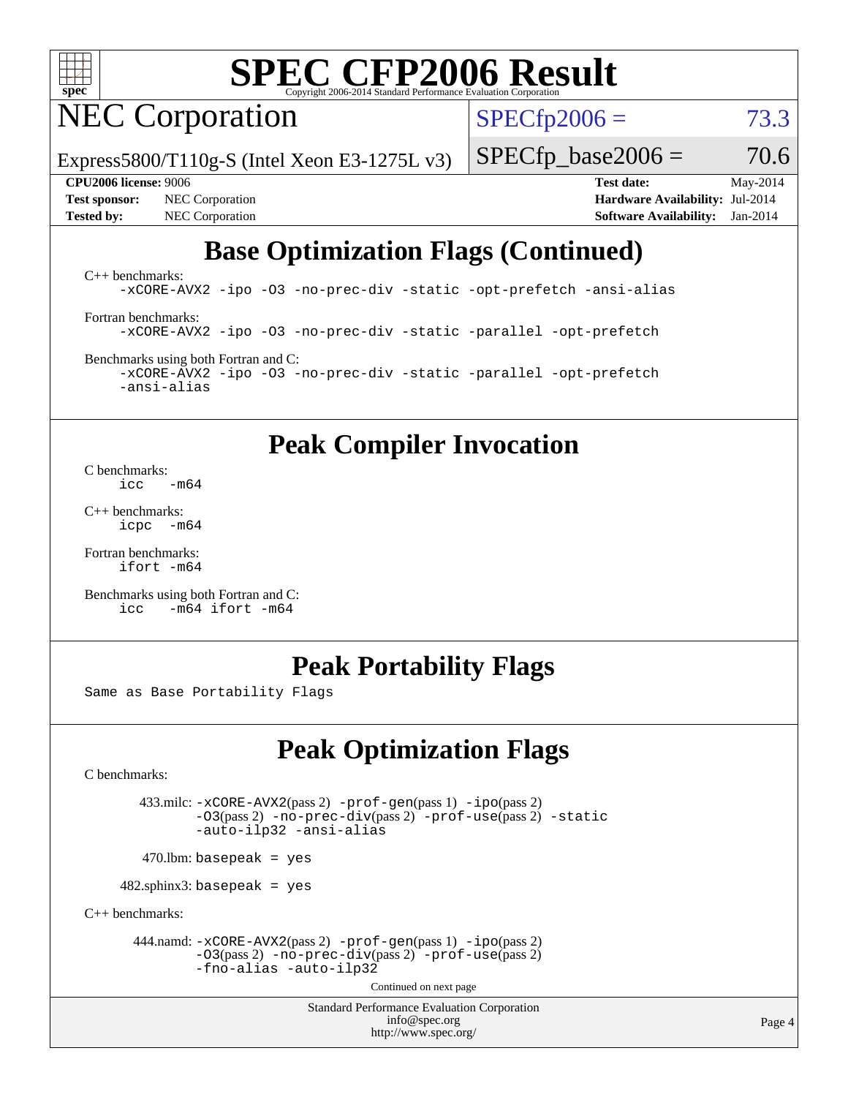

NEC Corporation

 $SPECfp2006 = 73.3$  $SPECfp2006 = 73.3$ 

Express5800/T110g-S (Intel Xeon E3-1275L v3)

**[Test sponsor:](http://www.spec.org/auto/cpu2006/Docs/result-fields.html#Testsponsor)** NEC Corporation **[Hardware Availability:](http://www.spec.org/auto/cpu2006/Docs/result-fields.html#HardwareAvailability)** Jul-2014 **[Tested by:](http://www.spec.org/auto/cpu2006/Docs/result-fields.html#Testedby)** NEC Corporation **[Software Availability:](http://www.spec.org/auto/cpu2006/Docs/result-fields.html#SoftwareAvailability)** Jan-2014

**[CPU2006 license:](http://www.spec.org/auto/cpu2006/Docs/result-fields.html#CPU2006license)** 9006 **[Test date:](http://www.spec.org/auto/cpu2006/Docs/result-fields.html#Testdate)** May-2014

 $SPECTp\_base2006 = 70.6$ 

### **[Base Optimization Flags \(Continued\)](http://www.spec.org/auto/cpu2006/Docs/result-fields.html#BaseOptimizationFlags)**

[C++ benchmarks:](http://www.spec.org/auto/cpu2006/Docs/result-fields.html#CXXbenchmarks) [-xCORE-AVX2](http://www.spec.org/cpu2006/results/res2014q3/cpu2006-20140806-30800.flags.html#user_CXXbase_f-xAVX2_5f5fc0cbe2c9f62c816d3e45806c70d7) [-ipo](http://www.spec.org/cpu2006/results/res2014q3/cpu2006-20140806-30800.flags.html#user_CXXbase_f-ipo) [-O3](http://www.spec.org/cpu2006/results/res2014q3/cpu2006-20140806-30800.flags.html#user_CXXbase_f-O3) [-no-prec-div](http://www.spec.org/cpu2006/results/res2014q3/cpu2006-20140806-30800.flags.html#user_CXXbase_f-no-prec-div) [-static](http://www.spec.org/cpu2006/results/res2014q3/cpu2006-20140806-30800.flags.html#user_CXXbase_f-static) [-opt-prefetch](http://www.spec.org/cpu2006/results/res2014q3/cpu2006-20140806-30800.flags.html#user_CXXbase_f-opt-prefetch) [-ansi-alias](http://www.spec.org/cpu2006/results/res2014q3/cpu2006-20140806-30800.flags.html#user_CXXbase_f-ansi-alias)

[Fortran benchmarks](http://www.spec.org/auto/cpu2006/Docs/result-fields.html#Fortranbenchmarks): [-xCORE-AVX2](http://www.spec.org/cpu2006/results/res2014q3/cpu2006-20140806-30800.flags.html#user_FCbase_f-xAVX2_5f5fc0cbe2c9f62c816d3e45806c70d7) [-ipo](http://www.spec.org/cpu2006/results/res2014q3/cpu2006-20140806-30800.flags.html#user_FCbase_f-ipo) [-O3](http://www.spec.org/cpu2006/results/res2014q3/cpu2006-20140806-30800.flags.html#user_FCbase_f-O3) [-no-prec-div](http://www.spec.org/cpu2006/results/res2014q3/cpu2006-20140806-30800.flags.html#user_FCbase_f-no-prec-div) [-static](http://www.spec.org/cpu2006/results/res2014q3/cpu2006-20140806-30800.flags.html#user_FCbase_f-static) [-parallel](http://www.spec.org/cpu2006/results/res2014q3/cpu2006-20140806-30800.flags.html#user_FCbase_f-parallel) [-opt-prefetch](http://www.spec.org/cpu2006/results/res2014q3/cpu2006-20140806-30800.flags.html#user_FCbase_f-opt-prefetch)

[Benchmarks using both Fortran and C](http://www.spec.org/auto/cpu2006/Docs/result-fields.html#BenchmarksusingbothFortranandC): [-xCORE-AVX2](http://www.spec.org/cpu2006/results/res2014q3/cpu2006-20140806-30800.flags.html#user_CC_FCbase_f-xAVX2_5f5fc0cbe2c9f62c816d3e45806c70d7) [-ipo](http://www.spec.org/cpu2006/results/res2014q3/cpu2006-20140806-30800.flags.html#user_CC_FCbase_f-ipo) [-O3](http://www.spec.org/cpu2006/results/res2014q3/cpu2006-20140806-30800.flags.html#user_CC_FCbase_f-O3) [-no-prec-div](http://www.spec.org/cpu2006/results/res2014q3/cpu2006-20140806-30800.flags.html#user_CC_FCbase_f-no-prec-div) [-static](http://www.spec.org/cpu2006/results/res2014q3/cpu2006-20140806-30800.flags.html#user_CC_FCbase_f-static) [-parallel](http://www.spec.org/cpu2006/results/res2014q3/cpu2006-20140806-30800.flags.html#user_CC_FCbase_f-parallel) [-opt-prefetch](http://www.spec.org/cpu2006/results/res2014q3/cpu2006-20140806-30800.flags.html#user_CC_FCbase_f-opt-prefetch) [-ansi-alias](http://www.spec.org/cpu2006/results/res2014q3/cpu2006-20140806-30800.flags.html#user_CC_FCbase_f-ansi-alias)

**[Peak Compiler Invocation](http://www.spec.org/auto/cpu2006/Docs/result-fields.html#PeakCompilerInvocation)**

[C benchmarks](http://www.spec.org/auto/cpu2006/Docs/result-fields.html#Cbenchmarks):<br> $\frac{icc}{c}$  $-m64$ 

[C++ benchmarks:](http://www.spec.org/auto/cpu2006/Docs/result-fields.html#CXXbenchmarks) [icpc -m64](http://www.spec.org/cpu2006/results/res2014q3/cpu2006-20140806-30800.flags.html#user_CXXpeak_intel_icpc_64bit_bedb90c1146cab66620883ef4f41a67e)

[Fortran benchmarks](http://www.spec.org/auto/cpu2006/Docs/result-fields.html#Fortranbenchmarks): [ifort -m64](http://www.spec.org/cpu2006/results/res2014q3/cpu2006-20140806-30800.flags.html#user_FCpeak_intel_ifort_64bit_ee9d0fb25645d0210d97eb0527dcc06e)

[Benchmarks using both Fortran and C](http://www.spec.org/auto/cpu2006/Docs/result-fields.html#BenchmarksusingbothFortranandC): [icc -m64](http://www.spec.org/cpu2006/results/res2014q3/cpu2006-20140806-30800.flags.html#user_CC_FCpeak_intel_icc_64bit_0b7121f5ab7cfabee23d88897260401c) [ifort -m64](http://www.spec.org/cpu2006/results/res2014q3/cpu2006-20140806-30800.flags.html#user_CC_FCpeak_intel_ifort_64bit_ee9d0fb25645d0210d97eb0527dcc06e)

### **[Peak Portability Flags](http://www.spec.org/auto/cpu2006/Docs/result-fields.html#PeakPortabilityFlags)**

Same as Base Portability Flags

### **[Peak Optimization Flags](http://www.spec.org/auto/cpu2006/Docs/result-fields.html#PeakOptimizationFlags)**

[C benchmarks](http://www.spec.org/auto/cpu2006/Docs/result-fields.html#Cbenchmarks):

 433.milc: [-xCORE-AVX2](http://www.spec.org/cpu2006/results/res2014q3/cpu2006-20140806-30800.flags.html#user_peakPASS2_CFLAGSPASS2_LDFLAGS433_milc_f-xAVX2_5f5fc0cbe2c9f62c816d3e45806c70d7)(pass 2) [-prof-gen](http://www.spec.org/cpu2006/results/res2014q3/cpu2006-20140806-30800.flags.html#user_peakPASS1_CFLAGSPASS1_LDFLAGS433_milc_prof_gen_e43856698f6ca7b7e442dfd80e94a8fc)(pass 1) [-ipo](http://www.spec.org/cpu2006/results/res2014q3/cpu2006-20140806-30800.flags.html#user_peakPASS2_CFLAGSPASS2_LDFLAGS433_milc_f-ipo)(pass 2) [-O3](http://www.spec.org/cpu2006/results/res2014q3/cpu2006-20140806-30800.flags.html#user_peakPASS2_CFLAGSPASS2_LDFLAGS433_milc_f-O3)(pass 2) [-no-prec-div](http://www.spec.org/cpu2006/results/res2014q3/cpu2006-20140806-30800.flags.html#user_peakPASS2_CFLAGSPASS2_LDFLAGS433_milc_f-no-prec-div)(pass 2) [-prof-use](http://www.spec.org/cpu2006/results/res2014q3/cpu2006-20140806-30800.flags.html#user_peakPASS2_CFLAGSPASS2_LDFLAGS433_milc_prof_use_bccf7792157ff70d64e32fe3e1250b55)(pass 2) [-static](http://www.spec.org/cpu2006/results/res2014q3/cpu2006-20140806-30800.flags.html#user_peakOPTIMIZE433_milc_f-static) [-auto-ilp32](http://www.spec.org/cpu2006/results/res2014q3/cpu2006-20140806-30800.flags.html#user_peakCOPTIMIZE433_milc_f-auto-ilp32) [-ansi-alias](http://www.spec.org/cpu2006/results/res2014q3/cpu2006-20140806-30800.flags.html#user_peakCOPTIMIZE433_milc_f-ansi-alias)

 $470.$ lbm: basepeak = yes

 $482$ .sphinx3: basepeak = yes

[C++ benchmarks:](http://www.spec.org/auto/cpu2006/Docs/result-fields.html#CXXbenchmarks)

 444.namd: [-xCORE-AVX2](http://www.spec.org/cpu2006/results/res2014q3/cpu2006-20140806-30800.flags.html#user_peakPASS2_CXXFLAGSPASS2_LDFLAGS444_namd_f-xAVX2_5f5fc0cbe2c9f62c816d3e45806c70d7)(pass 2) [-prof-gen](http://www.spec.org/cpu2006/results/res2014q3/cpu2006-20140806-30800.flags.html#user_peakPASS1_CXXFLAGSPASS1_LDFLAGS444_namd_prof_gen_e43856698f6ca7b7e442dfd80e94a8fc)(pass 1) [-ipo](http://www.spec.org/cpu2006/results/res2014q3/cpu2006-20140806-30800.flags.html#user_peakPASS2_CXXFLAGSPASS2_LDFLAGS444_namd_f-ipo)(pass 2) [-O3](http://www.spec.org/cpu2006/results/res2014q3/cpu2006-20140806-30800.flags.html#user_peakPASS2_CXXFLAGSPASS2_LDFLAGS444_namd_f-O3)(pass 2) [-no-prec-div](http://www.spec.org/cpu2006/results/res2014q3/cpu2006-20140806-30800.flags.html#user_peakPASS2_CXXFLAGSPASS2_LDFLAGS444_namd_f-no-prec-div)(pass 2) [-prof-use](http://www.spec.org/cpu2006/results/res2014q3/cpu2006-20140806-30800.flags.html#user_peakPASS2_CXXFLAGSPASS2_LDFLAGS444_namd_prof_use_bccf7792157ff70d64e32fe3e1250b55)(pass 2) [-fno-alias](http://www.spec.org/cpu2006/results/res2014q3/cpu2006-20140806-30800.flags.html#user_peakCXXOPTIMIZEOPTIMIZE444_namd_f-no-alias_694e77f6c5a51e658e82ccff53a9e63a) [-auto-ilp32](http://www.spec.org/cpu2006/results/res2014q3/cpu2006-20140806-30800.flags.html#user_peakCXXOPTIMIZE444_namd_f-auto-ilp32)

Continued on next page

Standard Performance Evaluation Corporation [info@spec.org](mailto:info@spec.org) <http://www.spec.org/>

Page 4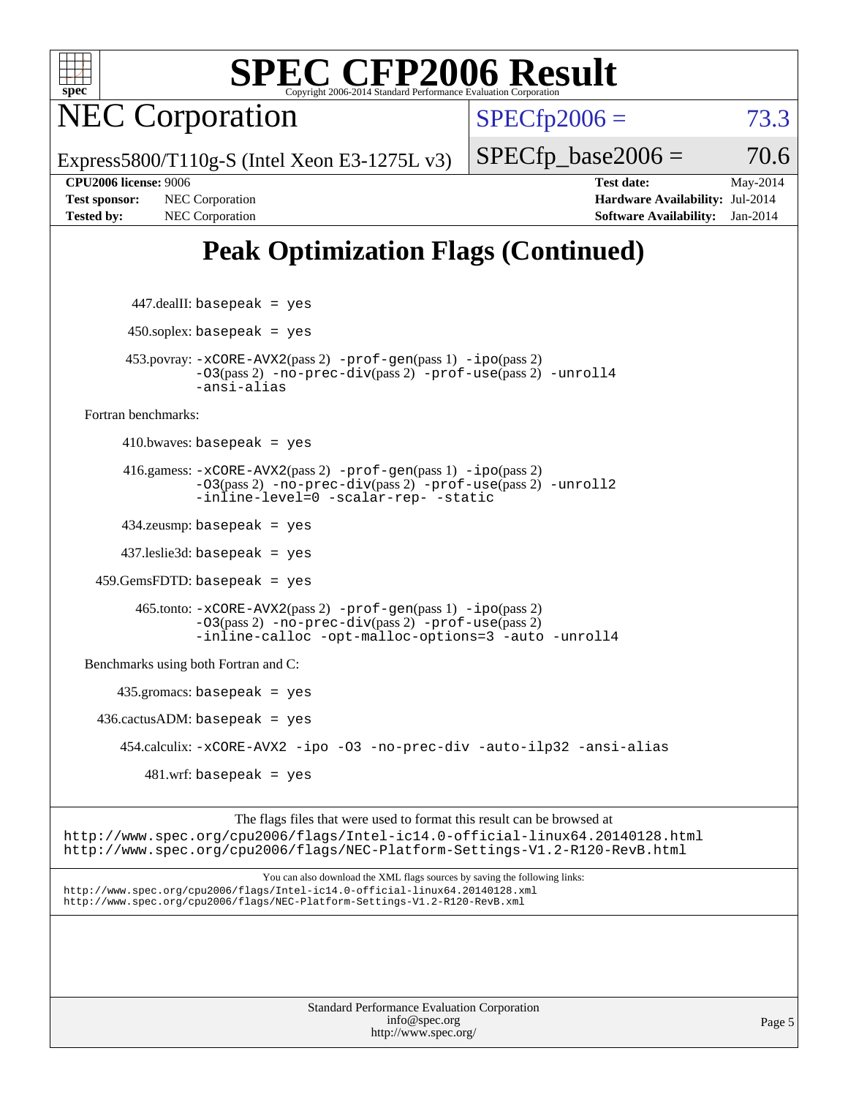

NEC Corporation

 $SPECTp2006 = 73.3$ 

Express5800/T110g-S (Intel Xeon E3-1275L v3)

**[Tested by:](http://www.spec.org/auto/cpu2006/Docs/result-fields.html#Testedby)** NEC Corporation **[Software Availability:](http://www.spec.org/auto/cpu2006/Docs/result-fields.html#SoftwareAvailability)** Jan-2014

**[CPU2006 license:](http://www.spec.org/auto/cpu2006/Docs/result-fields.html#CPU2006license)** 9006 **[Test date:](http://www.spec.org/auto/cpu2006/Docs/result-fields.html#Testdate)** May-2014 **[Test sponsor:](http://www.spec.org/auto/cpu2006/Docs/result-fields.html#Testsponsor)** NEC Corporation **[Hardware Availability:](http://www.spec.org/auto/cpu2006/Docs/result-fields.html#HardwareAvailability)** Jul-2014

 $SPECTp\_base2006 = 70.6$ 

## **[Peak Optimization Flags \(Continued\)](http://www.spec.org/auto/cpu2006/Docs/result-fields.html#PeakOptimizationFlags)**

 447.dealII: basepeak = yes  $450$ .soplex: basepeak = yes 453.povray: [-xCORE-AVX2](http://www.spec.org/cpu2006/results/res2014q3/cpu2006-20140806-30800.flags.html#user_peakPASS2_CXXFLAGSPASS2_LDFLAGS453_povray_f-xAVX2_5f5fc0cbe2c9f62c816d3e45806c70d7)(pass 2) [-prof-gen](http://www.spec.org/cpu2006/results/res2014q3/cpu2006-20140806-30800.flags.html#user_peakPASS1_CXXFLAGSPASS1_LDFLAGS453_povray_prof_gen_e43856698f6ca7b7e442dfd80e94a8fc)(pass 1) [-ipo](http://www.spec.org/cpu2006/results/res2014q3/cpu2006-20140806-30800.flags.html#user_peakPASS2_CXXFLAGSPASS2_LDFLAGS453_povray_f-ipo)(pass 2) [-O3](http://www.spec.org/cpu2006/results/res2014q3/cpu2006-20140806-30800.flags.html#user_peakPASS2_CXXFLAGSPASS2_LDFLAGS453_povray_f-O3)(pass 2) [-no-prec-div](http://www.spec.org/cpu2006/results/res2014q3/cpu2006-20140806-30800.flags.html#user_peakPASS2_CXXFLAGSPASS2_LDFLAGS453_povray_f-no-prec-div)(pass 2) [-prof-use](http://www.spec.org/cpu2006/results/res2014q3/cpu2006-20140806-30800.flags.html#user_peakPASS2_CXXFLAGSPASS2_LDFLAGS453_povray_prof_use_bccf7792157ff70d64e32fe3e1250b55)(pass 2) [-unroll4](http://www.spec.org/cpu2006/results/res2014q3/cpu2006-20140806-30800.flags.html#user_peakCXXOPTIMIZE453_povray_f-unroll_4e5e4ed65b7fd20bdcd365bec371b81f) [-ansi-alias](http://www.spec.org/cpu2006/results/res2014q3/cpu2006-20140806-30800.flags.html#user_peakCXXOPTIMIZE453_povray_f-ansi-alias) [Fortran benchmarks](http://www.spec.org/auto/cpu2006/Docs/result-fields.html#Fortranbenchmarks):  $410.bwaves: basepeak = yes$  416.gamess: [-xCORE-AVX2](http://www.spec.org/cpu2006/results/res2014q3/cpu2006-20140806-30800.flags.html#user_peakPASS2_FFLAGSPASS2_LDFLAGS416_gamess_f-xAVX2_5f5fc0cbe2c9f62c816d3e45806c70d7)(pass 2) [-prof-gen](http://www.spec.org/cpu2006/results/res2014q3/cpu2006-20140806-30800.flags.html#user_peakPASS1_FFLAGSPASS1_LDFLAGS416_gamess_prof_gen_e43856698f6ca7b7e442dfd80e94a8fc)(pass 1) [-ipo](http://www.spec.org/cpu2006/results/res2014q3/cpu2006-20140806-30800.flags.html#user_peakPASS2_FFLAGSPASS2_LDFLAGS416_gamess_f-ipo)(pass 2) [-O3](http://www.spec.org/cpu2006/results/res2014q3/cpu2006-20140806-30800.flags.html#user_peakPASS2_FFLAGSPASS2_LDFLAGS416_gamess_f-O3)(pass 2) [-no-prec-div](http://www.spec.org/cpu2006/results/res2014q3/cpu2006-20140806-30800.flags.html#user_peakPASS2_FFLAGSPASS2_LDFLAGS416_gamess_f-no-prec-div)(pass 2) [-prof-use](http://www.spec.org/cpu2006/results/res2014q3/cpu2006-20140806-30800.flags.html#user_peakPASS2_FFLAGSPASS2_LDFLAGS416_gamess_prof_use_bccf7792157ff70d64e32fe3e1250b55)(pass 2) [-unroll2](http://www.spec.org/cpu2006/results/res2014q3/cpu2006-20140806-30800.flags.html#user_peakOPTIMIZE416_gamess_f-unroll_784dae83bebfb236979b41d2422d7ec2) [-inline-level=0](http://www.spec.org/cpu2006/results/res2014q3/cpu2006-20140806-30800.flags.html#user_peakOPTIMIZE416_gamess_f-inline-level_318d07a09274ad25e8d15dbfaa68ba50) [-scalar-rep-](http://www.spec.org/cpu2006/results/res2014q3/cpu2006-20140806-30800.flags.html#user_peakOPTIMIZE416_gamess_f-disablescalarrep_abbcad04450fb118e4809c81d83c8a1d) [-static](http://www.spec.org/cpu2006/results/res2014q3/cpu2006-20140806-30800.flags.html#user_peakOPTIMIZE416_gamess_f-static) 434.zeusmp: basepeak = yes 437.leslie3d: basepeak = yes 459.GemsFDTD: basepeak = yes 465.tonto: [-xCORE-AVX2](http://www.spec.org/cpu2006/results/res2014q3/cpu2006-20140806-30800.flags.html#user_peakPASS2_FFLAGSPASS2_LDFLAGS465_tonto_f-xAVX2_5f5fc0cbe2c9f62c816d3e45806c70d7)(pass 2) [-prof-gen](http://www.spec.org/cpu2006/results/res2014q3/cpu2006-20140806-30800.flags.html#user_peakPASS1_FFLAGSPASS1_LDFLAGS465_tonto_prof_gen_e43856698f6ca7b7e442dfd80e94a8fc)(pass 1) [-ipo](http://www.spec.org/cpu2006/results/res2014q3/cpu2006-20140806-30800.flags.html#user_peakPASS2_FFLAGSPASS2_LDFLAGS465_tonto_f-ipo)(pass 2) [-O3](http://www.spec.org/cpu2006/results/res2014q3/cpu2006-20140806-30800.flags.html#user_peakPASS2_FFLAGSPASS2_LDFLAGS465_tonto_f-O3)(pass 2) [-no-prec-div](http://www.spec.org/cpu2006/results/res2014q3/cpu2006-20140806-30800.flags.html#user_peakPASS2_FFLAGSPASS2_LDFLAGS465_tonto_f-no-prec-div)(pass 2) [-prof-use](http://www.spec.org/cpu2006/results/res2014q3/cpu2006-20140806-30800.flags.html#user_peakPASS2_FFLAGSPASS2_LDFLAGS465_tonto_prof_use_bccf7792157ff70d64e32fe3e1250b55)(pass 2) [-inline-calloc](http://www.spec.org/cpu2006/results/res2014q3/cpu2006-20140806-30800.flags.html#user_peakOPTIMIZE465_tonto_f-inline-calloc) [-opt-malloc-options=3](http://www.spec.org/cpu2006/results/res2014q3/cpu2006-20140806-30800.flags.html#user_peakOPTIMIZE465_tonto_f-opt-malloc-options_13ab9b803cf986b4ee62f0a5998c2238) [-auto](http://www.spec.org/cpu2006/results/res2014q3/cpu2006-20140806-30800.flags.html#user_peakOPTIMIZE465_tonto_f-auto) [-unroll4](http://www.spec.org/cpu2006/results/res2014q3/cpu2006-20140806-30800.flags.html#user_peakOPTIMIZE465_tonto_f-unroll_4e5e4ed65b7fd20bdcd365bec371b81f) [Benchmarks using both Fortran and C](http://www.spec.org/auto/cpu2006/Docs/result-fields.html#BenchmarksusingbothFortranandC): 435.gromacs: basepeak = yes  $436.cactusADM: basepeak = yes$  454.calculix: [-xCORE-AVX2](http://www.spec.org/cpu2006/results/res2014q3/cpu2006-20140806-30800.flags.html#user_peakOPTIMIZE454_calculix_f-xAVX2_5f5fc0cbe2c9f62c816d3e45806c70d7) [-ipo](http://www.spec.org/cpu2006/results/res2014q3/cpu2006-20140806-30800.flags.html#user_peakOPTIMIZE454_calculix_f-ipo) [-O3](http://www.spec.org/cpu2006/results/res2014q3/cpu2006-20140806-30800.flags.html#user_peakOPTIMIZE454_calculix_f-O3) [-no-prec-div](http://www.spec.org/cpu2006/results/res2014q3/cpu2006-20140806-30800.flags.html#user_peakOPTIMIZE454_calculix_f-no-prec-div) [-auto-ilp32](http://www.spec.org/cpu2006/results/res2014q3/cpu2006-20140806-30800.flags.html#user_peakCOPTIMIZE454_calculix_f-auto-ilp32) [-ansi-alias](http://www.spec.org/cpu2006/results/res2014q3/cpu2006-20140806-30800.flags.html#user_peakCOPTIMIZE454_calculix_f-ansi-alias)  $481 \text{.m}$ : basepeak = yes

The flags files that were used to format this result can be browsed at <http://www.spec.org/cpu2006/flags/Intel-ic14.0-official-linux64.20140128.html> <http://www.spec.org/cpu2006/flags/NEC-Platform-Settings-V1.2-R120-RevB.html>

You can also download the XML flags sources by saving the following links: <http://www.spec.org/cpu2006/flags/Intel-ic14.0-official-linux64.20140128.xml> <http://www.spec.org/cpu2006/flags/NEC-Platform-Settings-V1.2-R120-RevB.xml>

> Standard Performance Evaluation Corporation [info@spec.org](mailto:info@spec.org) <http://www.spec.org/>